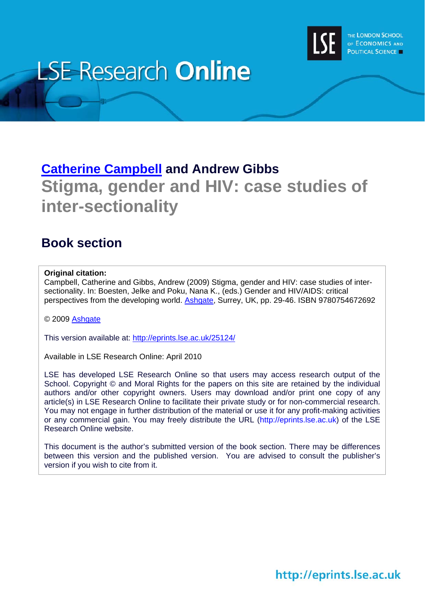

# **LSE Research Online**

## **[Catherine Campbell](http://www2.lse.ac.uk/researchAndExpertise/Experts/c.campbell@lse.ac.uk) and Andrew Gibbs Stigma, gender and HIV: case studies of inter-sectionality**

### **Book section**

#### **Original citation:**

Campbell, Catherine and Gibbs, Andrew (2009) Stigma, gender and HIV: case studies of intersectionality. In: Boesten, Jelke and Poku, Nana K., (eds.) Gender and HIV/AIDS: critical perspectives from the developing world. [Ashgate](http://ashgate.com/isbn/9780754672692), Surrey, UK, pp. 29-46. ISBN 9780754672692

© 2009 [Ashgate](http://ashgate.com/isbn/9780754672692)

This version available at: <http://eprints.lse.ac.uk/25124/>

Available in LSE Research Online: April 2010

LSE has developed LSE Research Online so that users may access research output of the School. Copyright © and Moral Rights for the papers on this site are retained by the individual authors and/or other copyright owners. Users may download and/or print one copy of any article(s) in LSE Research Online to facilitate their private study or for non-commercial research. You may not engage in further distribution of the material or use it for any profit-making activities or any commercial gain. You may freely distribute the URL (http://eprints.lse.ac.uk) of the LSE Research Online website.

This document is the author's submitted version of the book section. There may be differences between this version and the published version. You are advised to consult the publisher's version if you wish to cite from it.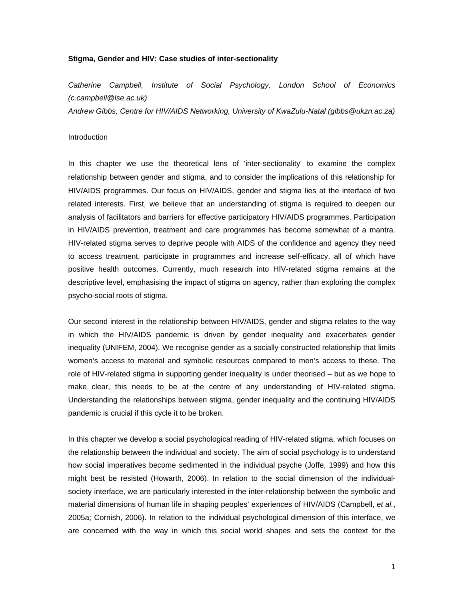#### **Stigma, Gender and HIV: Case studies of inter-sectionality**

*Catherine Campbell, Institute of Social Psychology, London School of Economics (c.campbell@lse.ac.uk)* 

*Andrew Gibbs, Centre for HIV/AIDS Networking, University of KwaZulu-Natal (gibbs@ukzn.ac.za)* 

#### **Introduction**

In this chapter we use the theoretical lens of 'inter-sectionality' to examine the complex relationship between gender and stigma, and to consider the implications of this relationship for HIV/AIDS programmes. Our focus on HIV/AIDS, gender and stigma lies at the interface of two related interests. First, we believe that an understanding of stigma is required to deepen our analysis of facilitators and barriers for effective participatory HIV/AIDS programmes. Participation in HIV/AIDS prevention, treatment and care programmes has become somewhat of a mantra. HIV-related stigma serves to deprive people with AIDS of the confidence and agency they need to access treatment, participate in programmes and increase self-efficacy, all of which have positive health outcomes. Currently, much research into HIV-related stigma remains at the descriptive level, emphasising the impact of stigma on agency, rather than exploring the complex psycho-social roots of stigma.

Our second interest in the relationship between HIV/AIDS, gender and stigma relates to the way in which the HIV/AIDS pandemic is driven by gender inequality and exacerbates gender inequality (UNIFEM, 2004). We recognise gender as a socially constructed relationship that limits women's access to material and symbolic resources compared to men's access to these. The role of HIV-related stigma in supporting gender inequality is under theorised – but as we hope to make clear, this needs to be at the centre of any understanding of HIV-related stigma. Understanding the relationships between stigma, gender inequality and the continuing HIV/AIDS pandemic is crucial if this cycle it to be broken.

In this chapter we develop a social psychological reading of HIV-related stigma, which focuses on the relationship between the individual and society. The aim of social psychology is to understand how social imperatives become sedimented in the individual psyche (Joffe, 1999) and how this might best be resisted (Howarth, 2006). In relation to the social dimension of the individualsociety interface, we are particularly interested in the inter-relationship between the symbolic and material dimensions of human life in shaping peoples' experiences of HIV/AIDS (Campbell, *et al.*, 2005a; Cornish, 2006). In relation to the individual psychological dimension of this interface, we are concerned with the way in which this social world shapes and sets the context for the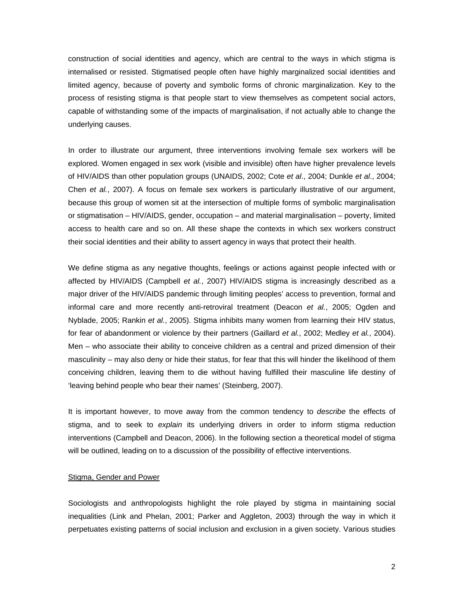construction of social identities and agency, which are central to the ways in which stigma is internalised or resisted. Stigmatised people often have highly marginalized social identities and limited agency, because of poverty and symbolic forms of chronic marginalization. Key to the process of resisting stigma is that people start to view themselves as competent social actors, capable of withstanding some of the impacts of marginalisation, if not actually able to change the underlying causes.

In order to illustrate our argument, three interventions involving female sex workers will be explored. Women engaged in sex work (visible and invisible) often have higher prevalence levels of HIV/AIDS than other population groups (UNAIDS, 2002; Cote *et al*., 2004; Dunkle *et al*., 2004; Chen *et al.*, 2007). A focus on female sex workers is particularly illustrative of our argument, because this group of women sit at the intersection of multiple forms of symbolic marginalisation or stigmatisation – HIV/AIDS, gender, occupation – and material marginalisation – poverty, limited access to health care and so on. All these shape the contexts in which sex workers construct their social identities and their ability to assert agency in ways that protect their health.

We define stigma as any negative thoughts, feelings or actions against people infected with or affected by HIV/AIDS (Campbell *et al.*, 2007) HIV/AIDS stigma is increasingly described as a major driver of the HIV/AIDS pandemic through limiting peoples' access to prevention, formal and informal care and more recently anti-retroviral treatment (Deacon *et al.*, 2005; Ogden and Nyblade, 2005; Rankin *et al.*, 2005). Stigma inhibits many women from learning their HIV status, for fear of abandonment or violence by their partners (Gaillard *et al.*, 2002; Medley *et al.*, 2004). Men – who associate their ability to conceive children as a central and prized dimension of their masculinity – may also deny or hide their status, for fear that this will hinder the likelihood of them conceiving children, leaving them to die without having fulfilled their masculine life destiny of 'leaving behind people who bear their names' (Steinberg, 2007).

It is important however, to move away from the common tendency to *describe* the effects of stigma, and to seek to *explain* its underlying drivers in order to inform stigma reduction interventions (Campbell and Deacon, 2006). In the following section a theoretical model of stigma will be outlined, leading on to a discussion of the possibility of effective interventions.

#### Stigma, Gender and Power

Sociologists and anthropologists highlight the role played by stigma in maintaining social inequalities (Link and Phelan, 2001; Parker and Aggleton, 2003) through the way in which it perpetuates existing patterns of social inclusion and exclusion in a given society. Various studies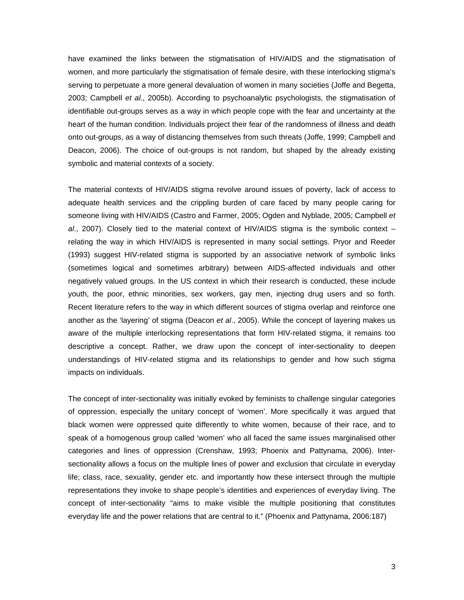have examined the links between the stigmatisation of HIV/AIDS and the stigmatisation of women, and more particularly the stigmatisation of female desire, with these interlocking stigma's serving to perpetuate a more general devaluation of women in many societies (Joffe and Begetta, 2003; Campbell *et al.*, 2005b). According to psychoanalytic psychologists, the stigmatisation of identifiable out-groups serves as a way in which people cope with the fear and uncertainty at the heart of the human condition. Individuals project their fear of the randomness of illness and death onto out-groups, as a way of distancing themselves from such threats (Joffe, 1999; Campbell and Deacon, 2006). The choice of out-groups is not random, but shaped by the already existing symbolic and material contexts of a society.

The material contexts of HIV/AIDS stigma revolve around issues of poverty, lack of access to adequate health services and the crippling burden of care faced by many people caring for someone living with HIV/AIDS (Castro and Farmer, 2005; Ogden and Nyblade, 2005; Campbell *et al*., 2007). Closely tied to the material context of HIV/AIDS stigma is the symbolic context – relating the way in which HIV/AIDS is represented in many social settings. Pryor and Reeder (1993) suggest HIV-related stigma is supported by an associative network of symbolic links (sometimes logical and sometimes arbitrary) between AIDS-affected individuals and other negatively valued groups. In the US context in which their research is conducted, these include youth, the poor, ethnic minorities, sex workers, gay men, injecting drug users and so forth. Recent literature refers to the way in which different sources of stigma overlap and reinforce one another as the 'layering' of stigma (Deacon *et al*., 2005). While the concept of layering makes us aware of the multiple interlocking representations that form HIV-related stigma, it remains too descriptive a concept. Rather, we draw upon the concept of inter-sectionality to deepen understandings of HIV-related stigma and its relationships to gender and how such stigma impacts on individuals.

The concept of inter-sectionality was initially evoked by feminists to challenge singular categories of oppression, especially the unitary concept of 'women'. More specifically it was argued that black women were oppressed quite differently to white women, because of their race, and to speak of a homogenous group called 'women' who all faced the same issues marginalised other categories and lines of oppression (Crenshaw, 1993; Phoenix and Pattynama, 2006). Intersectionality allows a focus on the multiple lines of power and exclusion that circulate in everyday life; class, race, sexuality, gender etc. and importantly how these intersect through the multiple representations they invoke to shape people's identities and experiences of everyday living. The concept of inter-sectionality "aims to make visible the multiple positioning that constitutes everyday life and the power relations that are central to it." (Phoenix and Pattynama, 2006:187)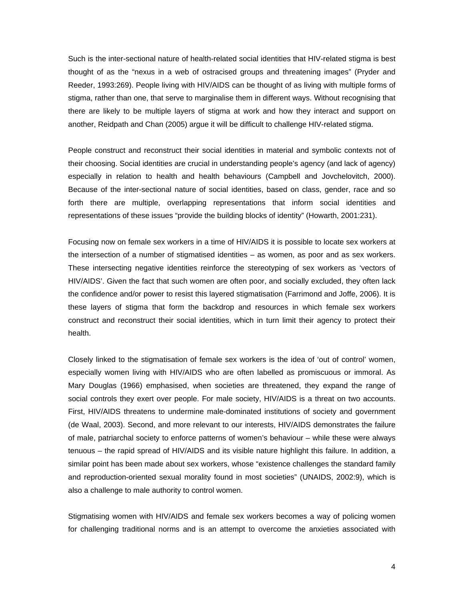Such is the inter-sectional nature of health-related social identities that HIV-related stigma is best thought of as the "nexus in a web of ostracised groups and threatening images" (Pryder and Reeder, 1993:269). People living with HIV/AIDS can be thought of as living with multiple forms of stigma, rather than one, that serve to marginalise them in different ways. Without recognising that there are likely to be multiple layers of stigma at work and how they interact and support on another, Reidpath and Chan (2005) argue it will be difficult to challenge HIV-related stigma.

People construct and reconstruct their social identities in material and symbolic contexts not of their choosing. Social identities are crucial in understanding people's agency (and lack of agency) especially in relation to health and health behaviours (Campbell and Jovchelovitch, 2000). Because of the inter-sectional nature of social identities, based on class, gender, race and so forth there are multiple, overlapping representations that inform social identities and representations of these issues "provide the building blocks of identity" (Howarth, 2001:231).

Focusing now on female sex workers in a time of HIV/AIDS it is possible to locate sex workers at the intersection of a number of stigmatised identities – as women, as poor and as sex workers. These intersecting negative identities reinforce the stereotyping of sex workers as 'vectors of HIV/AIDS'. Given the fact that such women are often poor, and socially excluded, they often lack the confidence and/or power to resist this layered stigmatisation (Farrimond and Joffe, 2006). It is these layers of stigma that form the backdrop and resources in which female sex workers construct and reconstruct their social identities, which in turn limit their agency to protect their health.

Closely linked to the stigmatisation of female sex workers is the idea of 'out of control' women, especially women living with HIV/AIDS who are often labelled as promiscuous or immoral. As Mary Douglas (1966) emphasised, when societies are threatened, they expand the range of social controls they exert over people. For male society, HIV/AIDS is a threat on two accounts. First, HIV/AIDS threatens to undermine male-dominated institutions of society and government (de Waal, 2003). Second, and more relevant to our interests, HIV/AIDS demonstrates the failure of male, patriarchal society to enforce patterns of women's behaviour – while these were always tenuous – the rapid spread of HIV/AIDS and its visible nature highlight this failure. In addition, a similar point has been made about sex workers, whose "existence challenges the standard family and reproduction-oriented sexual morality found in most societies" (UNAIDS, 2002:9), which is also a challenge to male authority to control women.

Stigmatising women with HIV/AIDS and female sex workers becomes a way of policing women for challenging traditional norms and is an attempt to overcome the anxieties associated with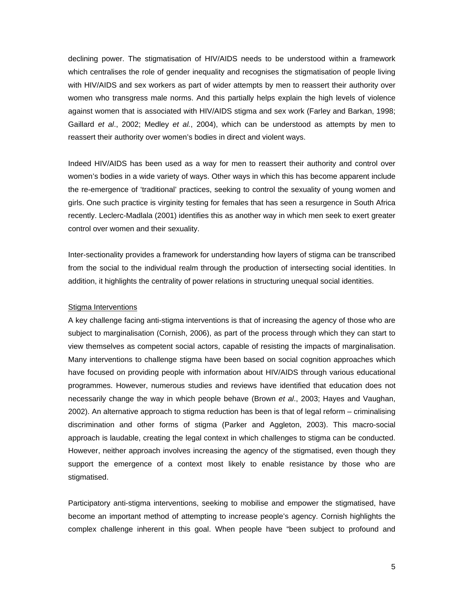declining power. The stigmatisation of HIV/AIDS needs to be understood within a framework which centralises the role of gender inequality and recognises the stigmatisation of people living with HIV/AIDS and sex workers as part of wider attempts by men to reassert their authority over women who transgress male norms. And this partially helps explain the high levels of violence against women that is associated with HIV/AIDS stigma and sex work (Farley and Barkan, 1998; Gaillard *et al*., 2002; Medley *et al.*, 2004), which can be understood as attempts by men to reassert their authority over women's bodies in direct and violent ways.

Indeed HIV/AIDS has been used as a way for men to reassert their authority and control over women's bodies in a wide variety of ways. Other ways in which this has become apparent include the re-emergence of 'traditional' practices, seeking to control the sexuality of young women and girls. One such practice is virginity testing for females that has seen a resurgence in South Africa recently. Leclerc-Madlala (2001) identifies this as another way in which men seek to exert greater control over women and their sexuality.

Inter-sectionality provides a framework for understanding how layers of stigma can be transcribed from the social to the individual realm through the production of intersecting social identities. In addition, it highlights the centrality of power relations in structuring unequal social identities.

#### Stigma Interventions

A key challenge facing anti-stigma interventions is that of increasing the agency of those who are subject to marginalisation (Cornish, 2006), as part of the process through which they can start to view themselves as competent social actors, capable of resisting the impacts of marginalisation. Many interventions to challenge stigma have been based on social cognition approaches which have focused on providing people with information about HIV/AIDS through various educational programmes. However, numerous studies and reviews have identified that education does not necessarily change the way in which people behave (Brown *et al*., 2003; Hayes and Vaughan, 2002). An alternative approach to stigma reduction has been is that of legal reform – criminalising discrimination and other forms of stigma (Parker and Aggleton, 2003). This macro-social approach is laudable, creating the legal context in which challenges to stigma can be conducted. However, neither approach involves increasing the agency of the stigmatised, even though they support the emergence of a context most likely to enable resistance by those who are stigmatised.

Participatory anti-stigma interventions, seeking to mobilise and empower the stigmatised, have become an important method of attempting to increase people's agency. Cornish highlights the complex challenge inherent in this goal. When people have "been subject to profound and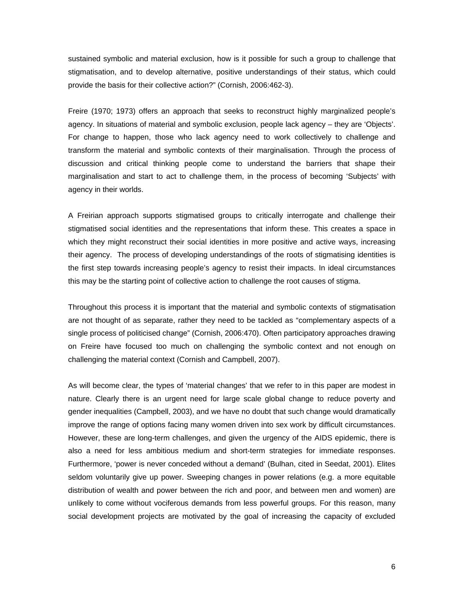sustained symbolic and material exclusion, how is it possible for such a group to challenge that stigmatisation, and to develop alternative, positive understandings of their status, which could provide the basis for their collective action?" (Cornish, 2006:462-3).

Freire (1970; 1973) offers an approach that seeks to reconstruct highly marginalized people's agency. In situations of material and symbolic exclusion, people lack agency – they are 'Objects'. For change to happen, those who lack agency need to work collectively to challenge and transform the material and symbolic contexts of their marginalisation. Through the process of discussion and critical thinking people come to understand the barriers that shape their marginalisation and start to act to challenge them, in the process of becoming 'Subjects' with agency in their worlds.

A Freirian approach supports stigmatised groups to critically interrogate and challenge their stigmatised social identities and the representations that inform these. This creates a space in which they might reconstruct their social identities in more positive and active ways, increasing their agency. The process of developing understandings of the roots of stigmatising identities is the first step towards increasing people's agency to resist their impacts. In ideal circumstances this may be the starting point of collective action to challenge the root causes of stigma.

Throughout this process it is important that the material and symbolic contexts of stigmatisation are not thought of as separate, rather they need to be tackled as "complementary aspects of a single process of politicised change" (Cornish, 2006:470). Often participatory approaches drawing on Freire have focused too much on challenging the symbolic context and not enough on challenging the material context (Cornish and Campbell, 2007).

As will become clear, the types of 'material changes' that we refer to in this paper are modest in nature. Clearly there is an urgent need for large scale global change to reduce poverty and gender inequalities (Campbell, 2003), and we have no doubt that such change would dramatically improve the range of options facing many women driven into sex work by difficult circumstances. However, these are long-term challenges, and given the urgency of the AIDS epidemic, there is also a need for less ambitious medium and short-term strategies for immediate responses. Furthermore, 'power is never conceded without a demand' (Bulhan, cited in Seedat, 2001). Elites seldom voluntarily give up power. Sweeping changes in power relations (e.g. a more equitable distribution of wealth and power between the rich and poor, and between men and women) are unlikely to come without vociferous demands from less powerful groups. For this reason, many social development projects are motivated by the goal of increasing the capacity of excluded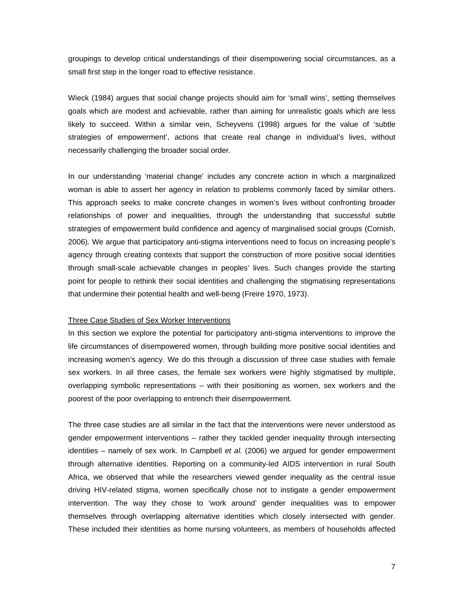groupings to develop critical understandings of their disempowering social circumstances, as a small first step in the longer road to effective resistance.

Wieck (1984) argues that social change projects should aim for 'small wins', setting themselves goals which are modest and achievable, rather than aiming for unrealistic goals which are less likely to succeed. Within a similar vein, Scheyvens (1998) argues for the value of 'subtle strategies of empowerment', actions that create real change in individual's lives, without necessarily challenging the broader social order.

In our understanding 'material change' includes any concrete action in which a marginalized woman is able to assert her agency in relation to problems commonly faced by similar others. This approach seeks to make concrete changes in women's lives without confronting broader relationships of power and inequalities, through the understanding that successful subtle strategies of empowerment build confidence and agency of marginalised social groups (Cornish, 2006). We argue that participatory anti-stigma interventions need to focus on increasing people's agency through creating contexts that support the construction of more positive social identities through small-scale achievable changes in peoples' lives. Such changes provide the starting point for people to rethink their social identities and challenging the stigmatising representations that undermine their potential health and well-being (Freire 1970, 1973).

#### Three Case Studies of Sex Worker Interventions

In this section we explore the potential for participatory anti-stigma interventions to improve the life circumstances of disempowered women, through building more positive social identities and increasing women's agency. We do this through a discussion of three case studies with female sex workers. In all three cases, the female sex workers were highly stigmatised by multiple, overlapping symbolic representations – with their positioning as women, sex workers and the poorest of the poor overlapping to entrench their disempowerment.

The three case studies are all similar in the fact that the interventions were never understood as gender empowerment interventions – rather they tackled gender inequality through intersecting identities – namely of sex work. In Campbell *et al.* (2006) we argued for gender empowerment through alternative identities. Reporting on a community-led AIDS intervention in rural South Africa, we observed that while the researchers viewed gender inequality as the central issue driving HIV-related stigma, women specifically chose not to instigate a gender empowerment intervention. The way they chose to 'work around' gender inequalities was to empower themselves through overlapping alternative identities which closely intersected with gender. These included their identities as home nursing volunteers, as members of households affected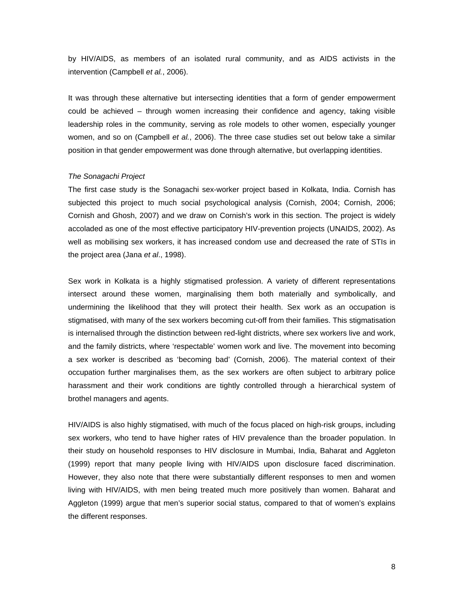by HIV/AIDS, as members of an isolated rural community, and as AIDS activists in the intervention (Campbell *et al.*, 2006).

It was through these alternative but intersecting identities that a form of gender empowerment could be achieved – through women increasing their confidence and agency, taking visible leadership roles in the community, serving as role models to other women, especially younger women, and so on (Campbell *et al.*, 2006). The three case studies set out below take a similar position in that gender empowerment was done through alternative, but overlapping identities.

#### *The Sonagachi Project*

The first case study is the Sonagachi sex-worker project based in Kolkata, India. Cornish has subjected this project to much social psychological analysis (Cornish, 2004; Cornish, 2006; Cornish and Ghosh, 2007) and we draw on Cornish's work in this section. The project is widely accoladed as one of the most effective participatory HIV-prevention projects (UNAIDS, 2002). As well as mobilising sex workers, it has increased condom use and decreased the rate of STIs in the project area (Jana *et al*., 1998).

Sex work in Kolkata is a highly stigmatised profession. A variety of different representations intersect around these women, marginalising them both materially and symbolically, and undermining the likelihood that they will protect their health. Sex work as an occupation is stigmatised, with many of the sex workers becoming cut-off from their families. This stigmatisation is internalised through the distinction between red-light districts, where sex workers live and work, and the family districts, where 'respectable' women work and live. The movement into becoming a sex worker is described as 'becoming bad' (Cornish, 2006). The material context of their occupation further marginalises them, as the sex workers are often subject to arbitrary police harassment and their work conditions are tightly controlled through a hierarchical system of brothel managers and agents.

HIV/AIDS is also highly stigmatised, with much of the focus placed on high-risk groups, including sex workers, who tend to have higher rates of HIV prevalence than the broader population. In their study on household responses to HIV disclosure in Mumbai, India, Baharat and Aggleton (1999) report that many people living with HIV/AIDS upon disclosure faced discrimination. However, they also note that there were substantially different responses to men and women living with HIV/AIDS, with men being treated much more positively than women. Baharat and Aggleton (1999) argue that men's superior social status, compared to that of women's explains the different responses.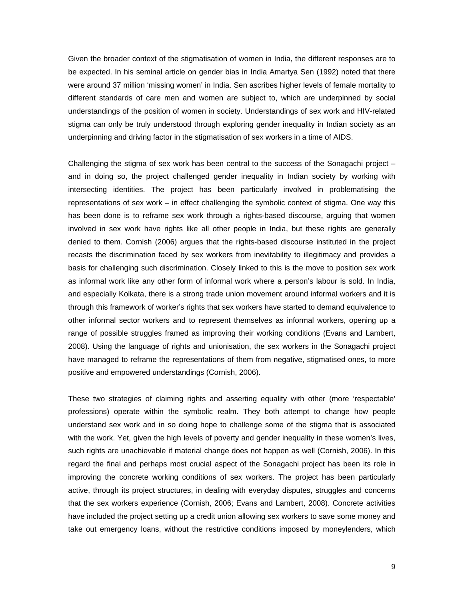Given the broader context of the stigmatisation of women in India, the different responses are to be expected. In his seminal article on gender bias in India Amartya Sen (1992) noted that there were around 37 million 'missing women' in India. Sen ascribes higher levels of female mortality to different standards of care men and women are subject to, which are underpinned by social understandings of the position of women in society. Understandings of sex work and HIV-related stigma can only be truly understood through exploring gender inequality in Indian society as an underpinning and driving factor in the stigmatisation of sex workers in a time of AIDS.

Challenging the stigma of sex work has been central to the success of the Sonagachi project – and in doing so, the project challenged gender inequality in Indian society by working with intersecting identities. The project has been particularly involved in problematising the representations of sex work – in effect challenging the symbolic context of stigma. One way this has been done is to reframe sex work through a rights-based discourse, arguing that women involved in sex work have rights like all other people in India, but these rights are generally denied to them. Cornish (2006) argues that the rights-based discourse instituted in the project recasts the discrimination faced by sex workers from inevitability to illegitimacy and provides a basis for challenging such discrimination. Closely linked to this is the move to position sex work as informal work like any other form of informal work where a person's labour is sold. In India, and especially Kolkata, there is a strong trade union movement around informal workers and it is through this framework of worker's rights that sex workers have started to demand equivalence to other informal sector workers and to represent themselves as informal workers, opening up a range of possible struggles framed as improving their working conditions (Evans and Lambert, 2008). Using the language of rights and unionisation, the sex workers in the Sonagachi project have managed to reframe the representations of them from negative, stigmatised ones, to more positive and empowered understandings (Cornish, 2006).

These two strategies of claiming rights and asserting equality with other (more 'respectable' professions) operate within the symbolic realm. They both attempt to change how people understand sex work and in so doing hope to challenge some of the stigma that is associated with the work. Yet, given the high levels of poverty and gender inequality in these women's lives, such rights are unachievable if material change does not happen as well (Cornish, 2006). In this regard the final and perhaps most crucial aspect of the Sonagachi project has been its role in improving the concrete working conditions of sex workers. The project has been particularly active, through its project structures, in dealing with everyday disputes, struggles and concerns that the sex workers experience (Cornish, 2006; Evans and Lambert, 2008). Concrete activities have included the project setting up a credit union allowing sex workers to save some money and take out emergency loans, without the restrictive conditions imposed by moneylenders, which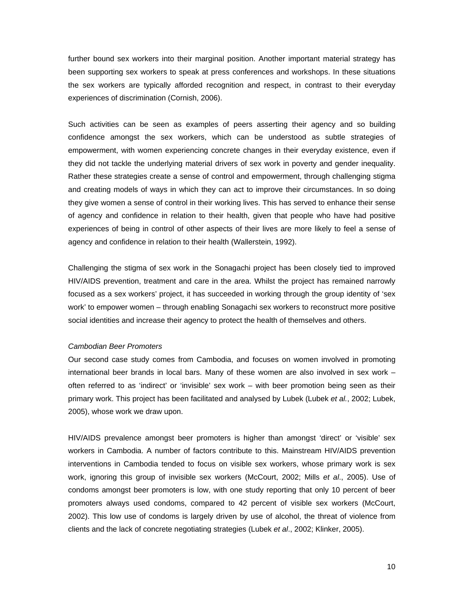further bound sex workers into their marginal position. Another important material strategy has been supporting sex workers to speak at press conferences and workshops. In these situations the sex workers are typically afforded recognition and respect, in contrast to their everyday experiences of discrimination (Cornish, 2006).

Such activities can be seen as examples of peers asserting their agency and so building confidence amongst the sex workers, which can be understood as subtle strategies of empowerment, with women experiencing concrete changes in their everyday existence, even if they did not tackle the underlying material drivers of sex work in poverty and gender inequality. Rather these strategies create a sense of control and empowerment, through challenging stigma and creating models of ways in which they can act to improve their circumstances. In so doing they give women a sense of control in their working lives. This has served to enhance their sense of agency and confidence in relation to their health, given that people who have had positive experiences of being in control of other aspects of their lives are more likely to feel a sense of agency and confidence in relation to their health (Wallerstein, 1992).

Challenging the stigma of sex work in the Sonagachi project has been closely tied to improved HIV/AIDS prevention, treatment and care in the area. Whilst the project has remained narrowly focused as a sex workers' project, it has succeeded in working through the group identity of 'sex work' to empower women – through enabling Sonagachi sex workers to reconstruct more positive social identities and increase their agency to protect the health of themselves and others.

#### *Cambodian Beer Promoters*

Our second case study comes from Cambodia, and focuses on women involved in promoting international beer brands in local bars. Many of these women are also involved in sex work – often referred to as 'indirect' or 'invisible' sex work – with beer promotion being seen as their primary work. This project has been facilitated and analysed by Lubek (Lubek *et al.*, 2002; Lubek, 2005), whose work we draw upon.

HIV/AIDS prevalence amongst beer promoters is higher than amongst 'direct' or 'visible' sex workers in Cambodia. A number of factors contribute to this. Mainstream HIV/AIDS prevention interventions in Cambodia tended to focus on visible sex workers, whose primary work is sex work, ignoring this group of invisible sex workers (McCourt, 2002; Mills *et al*., 2005). Use of condoms amongst beer promoters is low, with one study reporting that only 10 percent of beer promoters always used condoms, compared to 42 percent of visible sex workers (McCourt, 2002). This low use of condoms is largely driven by use of alcohol, the threat of violence from clients and the lack of concrete negotiating strategies (Lubek *et al*., 2002; Klinker, 2005).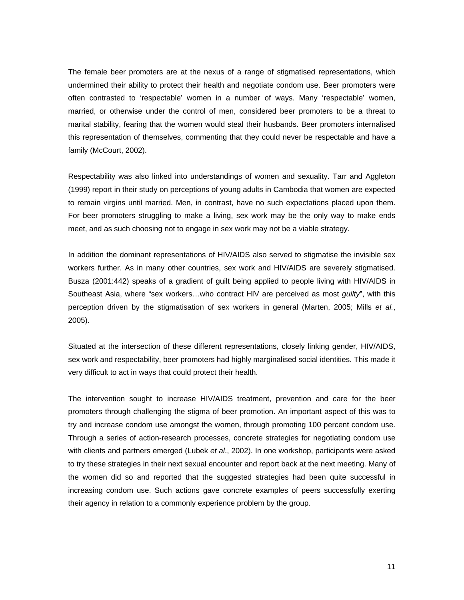The female beer promoters are at the nexus of a range of stigmatised representations, which undermined their ability to protect their health and negotiate condom use. Beer promoters were often contrasted to 'respectable' women in a number of ways. Many 'respectable' women, married, or otherwise under the control of men, considered beer promoters to be a threat to marital stability, fearing that the women would steal their husbands. Beer promoters internalised this representation of themselves, commenting that they could never be respectable and have a family (McCourt, 2002).

Respectability was also linked into understandings of women and sexuality. Tarr and Aggleton (1999) report in their study on perceptions of young adults in Cambodia that women are expected to remain virgins until married. Men, in contrast, have no such expectations placed upon them. For beer promoters struggling to make a living, sex work may be the only way to make ends meet, and as such choosing not to engage in sex work may not be a viable strategy.

In addition the dominant representations of HIV/AIDS also served to stigmatise the invisible sex workers further. As in many other countries, sex work and HIV/AIDS are severely stigmatised. Busza (2001:442) speaks of a gradient of guilt being applied to people living with HIV/AIDS in Southeast Asia, where "sex workers…who contract HIV are perceived as most *guilty*", with this perception driven by the stigmatisation of sex workers in general (Marten, 2005; Mills *et al.*, 2005).

Situated at the intersection of these different representations, closely linking gender, HIV/AIDS, sex work and respectability, beer promoters had highly marginalised social identities. This made it very difficult to act in ways that could protect their health.

The intervention sought to increase HIV/AIDS treatment, prevention and care for the beer promoters through challenging the stigma of beer promotion. An important aspect of this was to try and increase condom use amongst the women, through promoting 100 percent condom use. Through a series of action-research processes, concrete strategies for negotiating condom use with clients and partners emerged (Lubek *et al*., 2002). In one workshop, participants were asked to try these strategies in their next sexual encounter and report back at the next meeting. Many of the women did so and reported that the suggested strategies had been quite successful in increasing condom use. Such actions gave concrete examples of peers successfully exerting their agency in relation to a commonly experience problem by the group.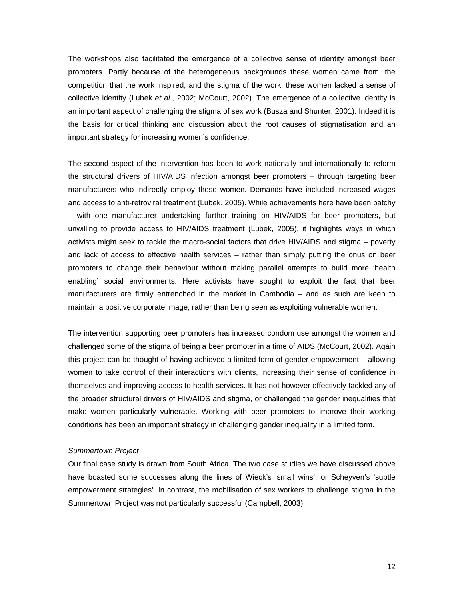The workshops also facilitated the emergence of a collective sense of identity amongst beer promoters. Partly because of the heterogeneous backgrounds these women came from, the competition that the work inspired, and the stigma of the work, these women lacked a sense of collective identity (Lubek *et al.*, 2002; McCourt, 2002). The emergence of a collective identity is an important aspect of challenging the stigma of sex work (Busza and Shunter, 2001). Indeed it is the basis for critical thinking and discussion about the root causes of stigmatisation and an important strategy for increasing women's confidence.

The second aspect of the intervention has been to work nationally and internationally to reform the structural drivers of HIV/AIDS infection amongst beer promoters – through targeting beer manufacturers who indirectly employ these women. Demands have included increased wages and access to anti-retroviral treatment (Lubek, 2005). While achievements here have been patchy – with one manufacturer undertaking further training on HIV/AIDS for beer promoters, but unwilling to provide access to HIV/AIDS treatment (Lubek, 2005), it highlights ways in which activists might seek to tackle the macro-social factors that drive HIV/AIDS and stigma – poverty and lack of access to effective health services – rather than simply putting the onus on beer promoters to change their behaviour without making parallel attempts to build more 'health enabling' social environments. Here activists have sought to exploit the fact that beer manufacturers are firmly entrenched in the market in Cambodia – and as such are keen to maintain a positive corporate image, rather than being seen as exploiting vulnerable women.

The intervention supporting beer promoters has increased condom use amongst the women and challenged some of the stigma of being a beer promoter in a time of AIDS (McCourt, 2002). Again this project can be thought of having achieved a limited form of gender empowerment – allowing women to take control of their interactions with clients, increasing their sense of confidence in themselves and improving access to health services. It has not however effectively tackled any of the broader structural drivers of HIV/AIDS and stigma, or challenged the gender inequalities that make women particularly vulnerable. Working with beer promoters to improve their working conditions has been an important strategy in challenging gender inequality in a limited form.

#### *Summertown Project*

Our final case study is drawn from South Africa. The two case studies we have discussed above have boasted some successes along the lines of Wieck's 'small wins', or Scheyven's 'subtle empowerment strategies'. In contrast, the mobilisation of sex workers to challenge stigma in the Summertown Project was not particularly successful (Campbell, 2003).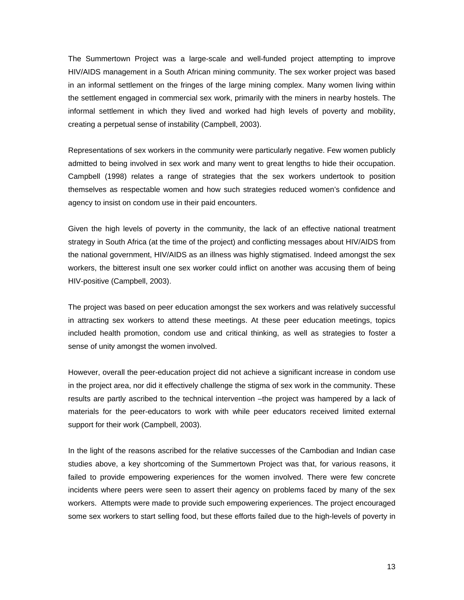The Summertown Project was a large-scale and well-funded project attempting to improve HIV/AIDS management in a South African mining community. The sex worker project was based in an informal settlement on the fringes of the large mining complex. Many women living within the settlement engaged in commercial sex work, primarily with the miners in nearby hostels. The informal settlement in which they lived and worked had high levels of poverty and mobility, creating a perpetual sense of instability (Campbell, 2003).

Representations of sex workers in the community were particularly negative. Few women publicly admitted to being involved in sex work and many went to great lengths to hide their occupation. Campbell (1998) relates a range of strategies that the sex workers undertook to position themselves as respectable women and how such strategies reduced women's confidence and agency to insist on condom use in their paid encounters.

Given the high levels of poverty in the community, the lack of an effective national treatment strategy in South Africa (at the time of the project) and conflicting messages about HIV/AIDS from the national government, HIV/AIDS as an illness was highly stigmatised. Indeed amongst the sex workers, the bitterest insult one sex worker could inflict on another was accusing them of being HIV-positive (Campbell, 2003).

The project was based on peer education amongst the sex workers and was relatively successful in attracting sex workers to attend these meetings. At these peer education meetings, topics included health promotion, condom use and critical thinking, as well as strategies to foster a sense of unity amongst the women involved.

However, overall the peer-education project did not achieve a significant increase in condom use in the project area, nor did it effectively challenge the stigma of sex work in the community. These results are partly ascribed to the technical intervention –the project was hampered by a lack of materials for the peer-educators to work with while peer educators received limited external support for their work (Campbell, 2003).

In the light of the reasons ascribed for the relative successes of the Cambodian and Indian case studies above, a key shortcoming of the Summertown Project was that, for various reasons, it failed to provide empowering experiences for the women involved. There were few concrete incidents where peers were seen to assert their agency on problems faced by many of the sex workers. Attempts were made to provide such empowering experiences. The project encouraged some sex workers to start selling food, but these efforts failed due to the high-levels of poverty in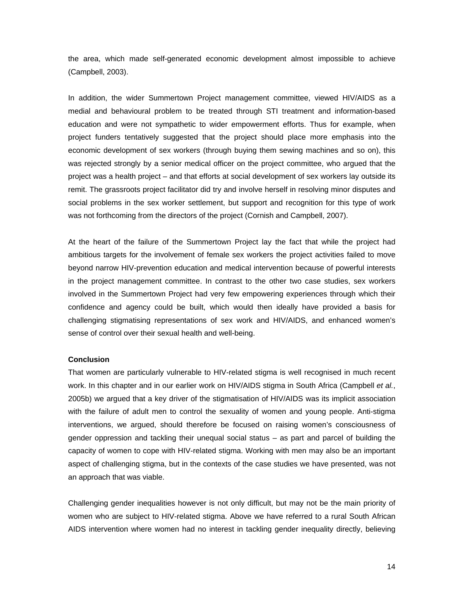the area, which made self-generated economic development almost impossible to achieve (Campbell, 2003).

In addition, the wider Summertown Project management committee, viewed HIV/AIDS as a medial and behavioural problem to be treated through STI treatment and information-based education and were not sympathetic to wider empowerment efforts. Thus for example, when project funders tentatively suggested that the project should place more emphasis into the economic development of sex workers (through buying them sewing machines and so on), this was rejected strongly by a senior medical officer on the project committee, who argued that the project was a health project – and that efforts at social development of sex workers lay outside its remit. The grassroots project facilitator did try and involve herself in resolving minor disputes and social problems in the sex worker settlement, but support and recognition for this type of work was not forthcoming from the directors of the project (Cornish and Campbell, 2007).

At the heart of the failure of the Summertown Project lay the fact that while the project had ambitious targets for the involvement of female sex workers the project activities failed to move beyond narrow HIV-prevention education and medical intervention because of powerful interests in the project management committee. In contrast to the other two case studies, sex workers involved in the Summertown Project had very few empowering experiences through which their confidence and agency could be built, which would then ideally have provided a basis for challenging stigmatising representations of sex work and HIV/AIDS, and enhanced women's sense of control over their sexual health and well-being.

#### **Conclusion**

That women are particularly vulnerable to HIV-related stigma is well recognised in much recent work. In this chapter and in our earlier work on HIV/AIDS stigma in South Africa (Campbell *et al.*, 2005b) we argued that a key driver of the stigmatisation of HIV/AIDS was its implicit association with the failure of adult men to control the sexuality of women and young people. Anti-stigma interventions, we argued, should therefore be focused on raising women's consciousness of gender oppression and tackling their unequal social status – as part and parcel of building the capacity of women to cope with HIV-related stigma. Working with men may also be an important aspect of challenging stigma, but in the contexts of the case studies we have presented, was not an approach that was viable.

Challenging gender inequalities however is not only difficult, but may not be the main priority of women who are subject to HIV-related stigma. Above we have referred to a rural South African AIDS intervention where women had no interest in tackling gender inequality directly, believing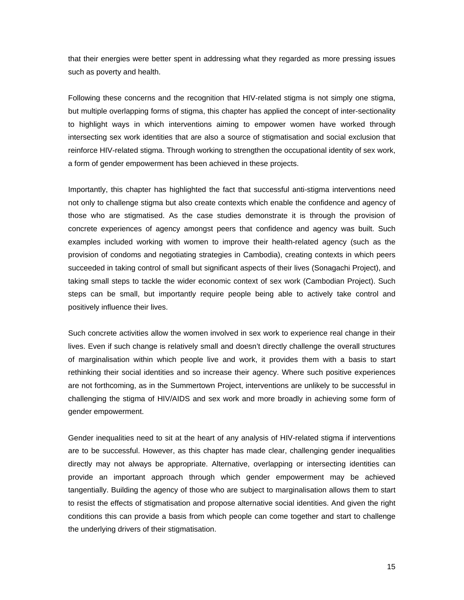that their energies were better spent in addressing what they regarded as more pressing issues such as poverty and health.

Following these concerns and the recognition that HIV-related stigma is not simply one stigma, but multiple overlapping forms of stigma, this chapter has applied the concept of inter-sectionality to highlight ways in which interventions aiming to empower women have worked through intersecting sex work identities that are also a source of stigmatisation and social exclusion that reinforce HIV-related stigma. Through working to strengthen the occupational identity of sex work, a form of gender empowerment has been achieved in these projects.

Importantly, this chapter has highlighted the fact that successful anti-stigma interventions need not only to challenge stigma but also create contexts which enable the confidence and agency of those who are stigmatised. As the case studies demonstrate it is through the provision of concrete experiences of agency amongst peers that confidence and agency was built. Such examples included working with women to improve their health-related agency (such as the provision of condoms and negotiating strategies in Cambodia), creating contexts in which peers succeeded in taking control of small but significant aspects of their lives (Sonagachi Project), and taking small steps to tackle the wider economic context of sex work (Cambodian Project). Such steps can be small, but importantly require people being able to actively take control and positively influence their lives.

Such concrete activities allow the women involved in sex work to experience real change in their lives. Even if such change is relatively small and doesn't directly challenge the overall structures of marginalisation within which people live and work, it provides them with a basis to start rethinking their social identities and so increase their agency. Where such positive experiences are not forthcoming, as in the Summertown Project, interventions are unlikely to be successful in challenging the stigma of HIV/AIDS and sex work and more broadly in achieving some form of gender empowerment.

Gender inequalities need to sit at the heart of any analysis of HIV-related stigma if interventions are to be successful. However, as this chapter has made clear, challenging gender inequalities directly may not always be appropriate. Alternative, overlapping or intersecting identities can provide an important approach through which gender empowerment may be achieved tangentially. Building the agency of those who are subject to marginalisation allows them to start to resist the effects of stigmatisation and propose alternative social identities. And given the right conditions this can provide a basis from which people can come together and start to challenge the underlying drivers of their stigmatisation.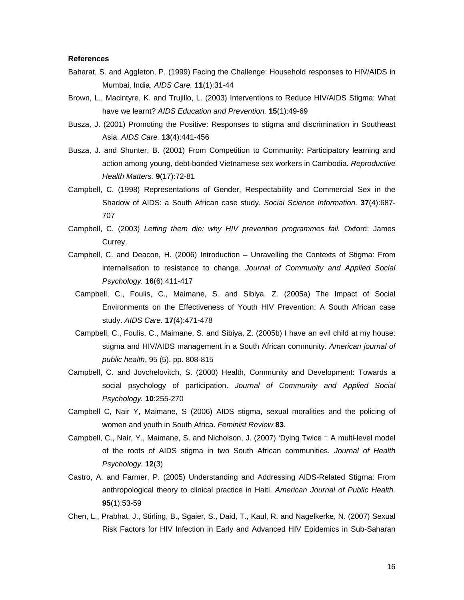#### **References**

- Baharat, S. and Aggleton, P. (1999) Facing the Challenge: Household responses to HIV/AIDS in Mumbai, India. *AIDS Care.* **11**(1):31-44
- Brown, L., Macintyre, K. and Trujillo, L. (2003) Interventions to Reduce HIV/AIDS Stigma: What have we learnt? *AIDS Education and Prevention.* **15**(1):49-69
- Busza, J. (2001) Promoting the Positive: Responses to stigma and discrimination in Southeast Asia. *AIDS Care.* **13**(4):441-456
- Busza, J. and Shunter, B. (2001) From Competition to Community: Participatory learning and action among young, debt-bonded Vietnamese sex workers in Cambodia. *Reproductive Health Matters.* **9**(17):72-81
- Campbell, C. (1998) Representations of Gender, Respectability and Commercial Sex in the Shadow of AIDS: a South African case study. *Social Science Information.* **37**(4):687- 707
- Campbell, C. (2003) *Letting them die: why HIV prevention programmes fail.* Oxford: James Currey.
- Campbell, C. and Deacon, H. (2006) Introduction Unravelling the Contexts of Stigma: From internalisation to resistance to change. *Journal of Community and Applied Social Psychology.* **16**(6):411-417
	- Campbell, C., Foulis, C., Maimane, S. and Sibiya, Z. (2005a) The Impact of Social Environments on the Effectiveness of Youth HIV Prevention: A South African case study. *AIDS Care.* **17**(4):471-478
	- Campbell, C., Foulis, C., Maimane, S. and Sibiya, Z. (2005b) I have an evil child at my house: stigma and HIV/AIDS management in a South African community. *American journal of public health*, 95 (5). pp. 808-815
- Campbell, C. and Jovchelovitch, S. (2000) Health, Community and Development: Towards a social psychology of participation. *Journal of Community and Applied Social Psychology.* **10**:255-270
- Campbell C, Nair Y, Maimane, S (2006) AIDS stigma, sexual moralities and the policing of women and youth in South Africa. *Feminist Review* **83**.
- Campbell, C., Nair, Y., Maimane, S. and Nicholson, J. (2007) 'Dying Twice ': A multi-level model of the roots of AIDS stigma in two South African communities. *Journal of Health Psychology.* **12**(3)
- Castro, A. and Farmer, P. (2005) Understanding and Addressing AIDS-Related Stigma: From anthropological theory to clinical practice in Haiti. *American Journal of Public Health.* **95**(1):53-59
- Chen, L., Prabhat, J., Stirling, B., Sgaier, S., Daid, T., Kaul, R. and Nagelkerke, N. (2007) Sexual Risk Factors for HIV Infection in Early and Advanced HIV Epidemics in Sub-Saharan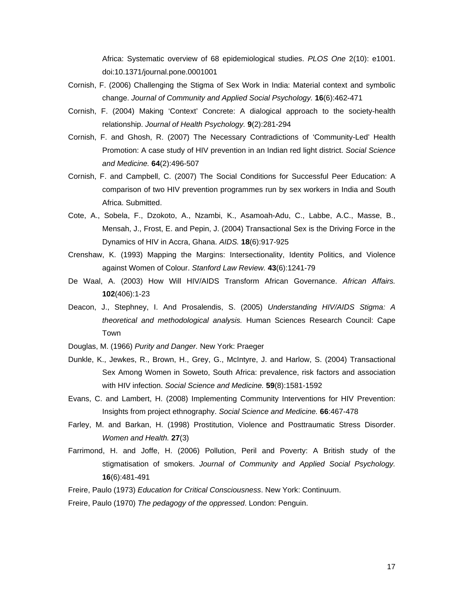Africa: Systematic overview of 68 epidemiological studies. *PLOS One* 2(10): e1001. doi:10.1371/journal.pone.0001001

- Cornish, F. (2006) Challenging the Stigma of Sex Work in India: Material context and symbolic change. *Journal of Community and Applied Social Psychology.* **16**(6):462-471
- Cornish, F. (2004) Making 'Context' Concrete: A dialogical approach to the society-health relationship. *Journal of Health Psychology.* **9**(2):281-294
- Cornish, F. and Ghosh, R. (2007) The Necessary Contradictions of 'Community-Led' Health Promotion: A case study of HIV prevention in an Indian red light district. *Social Science and Medicine.* **64**(2):496-507
- Cornish, F. and Campbell, C. (2007) The Social Conditions for Successful Peer Education: A comparison of two HIV prevention programmes run by sex workers in India and South Africa. Submitted.
- Cote, A., Sobela, F., Dzokoto, A., Nzambi, K., Asamoah-Adu, C., Labbe, A.C., Masse, B., Mensah, J., Frost, E. and Pepin, J. (2004) Transactional Sex is the Driving Force in the Dynamics of HIV in Accra, Ghana. *AIDS.* **18**(6):917-925
- Crenshaw, K. (1993) Mapping the Margins: Intersectionality, Identity Politics, and Violence against Women of Colour. *Stanford Law Review.* **43**(6):1241-79
- De Waal, A. (2003) How Will HIV/AIDS Transform African Governance. *African Affairs.* **102**(406):1-23
- Deacon, J., Stephney, I. And Prosalendis, S. (2005) *Understanding HIV/AIDS Stigma: A theoretical and methodological analysis.* Human Sciences Research Council: Cape Town
- Douglas, M. (1966) *Purity and Danger.* New York: Praeger
- Dunkle, K., Jewkes, R., Brown, H., Grey, G., McIntyre, J. and Harlow, S. (2004) Transactional Sex Among Women in Soweto, South Africa: prevalence, risk factors and association with HIV infection. *Social Science and Medicine.* **59**(8):1581-1592
- Evans, C. and Lambert, H. (2008) Implementing Community Interventions for HIV Prevention: Insights from project ethnography. *Social Science and Medicine.* **66**:467-478
- Farley, M. and Barkan, H. (1998) Prostitution, Violence and Posttraumatic Stress Disorder. *Women and Health.* **27**(3)
- Farrimond, H. and Joffe, H. (2006) Pollution, Peril and Poverty: A British study of the stigmatisation of smokers. *Journal of Community and Applied Social Psychology.* **16**(6):481-491
- Freire, Paulo (1973) *Education for Critical Consciousness*. New York: Continuum.
- Freire, Paulo (1970) *The pedagogy of the oppressed*. London: Penguin.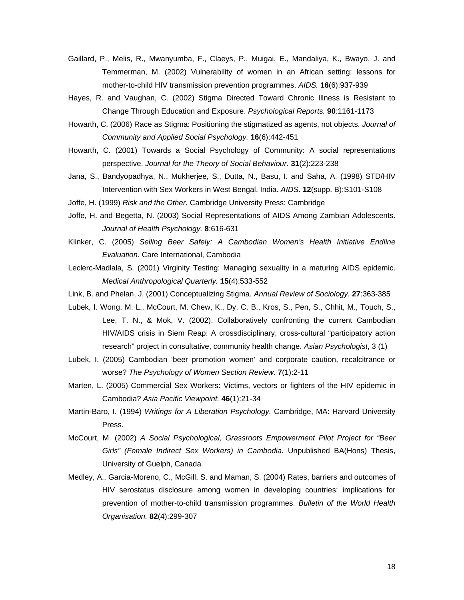- Gaillard, P., Melis, R., Mwanyumba, F., Claeys, P., Muigai, E., Mandaliya, K., Bwayo, J. and Temmerman, M. (2002) Vulnerability of women in an African setting: lessons for mother-to-child HIV transmission prevention programmes. *AIDS.* **16**(6):937-939
- Hayes, R. and Vaughan, C. (2002) Stigma Directed Toward Chronic Illness is Resistant to Change Through Education and Exposure. *Psychological Reports.* **90**:1161-1173
- Howarth, C. (2006) Race as Stigma: Positioning the stigmatized as agents, not objects. *Journal of Community and Applied Social Psychology.* **16**(6):442-451
- Howarth, C. (2001) Towards a Social Psychology of Community: A social representations perspective. *Journal for the Theory of Social Behaviour.* **31**(2):223-238
- Jana, S., Bandyopadhya, N., Mukherjee, S., Dutta, N., Basu, I. and Saha, A. (1998) STD/HIV Intervention with Sex Workers in West Bengal, India. *AIDS*. **12**(supp. B):S101-S108
- Joffe, H. (1999) *Risk and the Other.* Cambridge University Press: Cambridge
- Joffe, H. and Begetta, N. (2003) Social Representations of AIDS Among Zambian Adolescents. *Journal of Health Psychology.* **8**:616-631
- Klinker, C. (2005) *Selling Beer Safely: A Cambodian Women's Health Initiative Endline Evaluation.* Care International, Cambodia
- Leclerc-Madlala, S. (2001) Virginity Testing: Managing sexuality in a maturing AIDS epidemic. *Medical Anthropological Quarterly.* **15**(4):533-552
- Link, B. and Phelan, J. (2001) Conceptualizing Stigma. *Annual Review of Sociology.* **27**:363-385
- Lubek, I. Wong, M. L., McCourt, M. Chew, K., Dy, C. B., Kros, S., Pen, S., Chhit, M., Touch, S., Lee, T. N., & Mok, V. (2002). Collaboratively confronting the current Cambodian HIV/AIDS crisis in Siem Reap: A crossdisciplinary, cross-cultural "participatory action research" project in consultative, community health change. *Asian Psychologist*, 3 (1)
- Lubek, I. (2005) Cambodian 'beer promotion women' and corporate caution, recalcitrance or worse? *The Psychology of Women Section Review.* **7**(1):2-11
- Marten, L. (2005) Commercial Sex Workers: Victims, vectors or fighters of the HIV epidemic in Cambodia? *Asia Pacific Viewpoint.* **46**(1):21-34
- Martin-Baro, I. (1994) *Writings for A Liberation Psychology.* Cambridge, MA: Harvard University Press.
- McCourt, M. (2002) *A Social Psychological, Grassroots Empowerment Pilot Project for "Beer Girls" (Female Indirect Sex Workers) in Cambodia.* Unpublished BA(Hons) Thesis, University of Guelph, Canada
- Medley, A., Garcia-Moreno, C., McGill, S. and Maman, S. (2004) Rates, barriers and outcomes of HIV serostatus disclosure among women in developing countries: implications for prevention of mother-to-child transmission programmes. *Bulletin of the World Health Organisation.* **82**(4):299-307